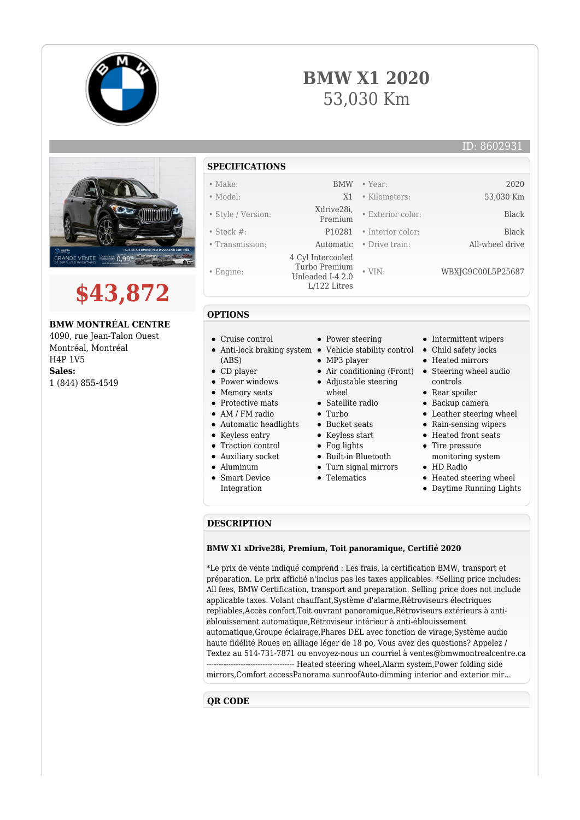







**BMW MONTRÉAL CENTRE**

4090, rue Jean-Talon Ouest Montréal, Montréal H4P 1V5 **Sales:** 1 (844) 855-4549

## **SPECIFICATIONS**

- Make: BMW Year: 2020
- Model: X1 Kilometers: 53,030 Km
- Style / Version: Xdrive28i,
- 
- 
- Engine:
- 

**OPTIONS**

(ABS) CD player • Power windows • Memory seats • Protective mats

Cruise control

- Stock #: P10281 Interior color: Black • Transmission: Automatic • Drive train: All-wheel drive 4 Cyl Intercooled Turbo Premium Unleaded I-4 2.0 L/122 Litres • VIN: WBXJG9C00L5P25687
	- - Power steering
		-
		- MP3 player
		- Adjustable steering
		- whool
		-
		-
		- Bucket seats
		- Keyless start • Fog lights
		-
		- Built-in Bluetooth
		- Turn signal mirrors
		- **•** Telematics
- Intermittent wipers
- Child safety locks

• Exterior color: Black

- Heated mirrors
- Air conditioning (Front) Steering wheel audio controls
	- Rear spoiler
	- Backup camera
	- Leather steering wheel
	- Rain-sensing wipers
	- Heated front seats
	- Tire pressure
	- monitoring system HD Radio
	-
	- Heated steering wheel
	- Daytime Running Lights

## **DESCRIPTION**

## **BMW X1 xDrive28i, Premium, Toit panoramique, Certifié 2020**

\*Le prix de vente indiqué comprend : Les frais, la certification BMW, transport et préparation. Le prix affiché n'inclus pas les taxes applicables. \*Selling price includes: All fees, BMW Certification, transport and preparation. Selling price does not include applicable taxes. Volant chauffant,Système d'alarme,Rétroviseurs électriques repliables,Accès confort,Toit ouvrant panoramique,Rétroviseurs extérieurs à antiéblouissement automatique,Rétroviseur intérieur à anti-éblouissement automatique,Groupe éclairage,Phares DEL avec fonction de virage,Système audio haute fidélité Roues en alliage léger de 18 po, Vous avez des questions? Appelez / Textez au 514-731-7871 ou envoyez-nous un courriel à ventes@bmwmontrealcentre.ca ------------------------------------ Heated steering wheel,Alarm system,Power folding side mirrors,Comfort accessPanorama sunroofAuto-dimming interior and exterior mir...

## **QR CODE**

- AM / FM radio Automatic headlights
- Keyless entry
- Traction control
- Auxiliary socket
- Aluminum
- Smart Device
- Integration
- Anti-lock braking system Vehicle stability control
	- -